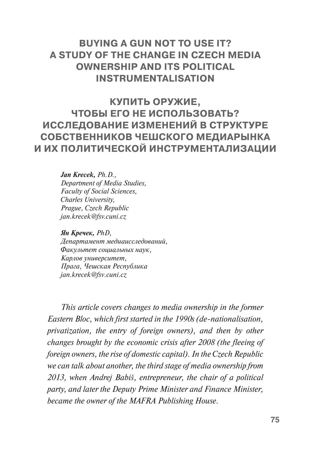# **BUYING A GUN NOT TO USE IT? A STUDY OF THE CHANGE IN CZECH MEDIA OWNERSHIP AND ITS POLITICAL INSTRUMENTALISATION**

**КУПИТЬ ОРУЖИЕ, ЧТОБЫ ЕГО НЕ ИСПОЛЬЗОВАТЬ? ИССЛЕДОВАНИЕ ИЗМЕНЕНИЙ В СТРУКТУРЕ СОБСТВЕННИКОВ ЧЕШСКОГО МЕДИАРЫНКА И ИХ ПОЛИТИЧЕСКОЙ ИНСТРУМЕНТАЛИЗАЦИИ**

> *Jan Krecek, Ph.D., Department of Media Studies, Faculty of Social Sciences, Charles University, Prague, Czech Republic jan.krecek@fsv.cuni.cz*

*Ян Кречек, PhD, Департамент медиаисследований, Факультет социальных наук, Карлов университет, Прага, Чешская Республика jan.krecek@fsv.cuni.cz*

*This article covers changes to media ownership in the former Eastern Bloc, which first started in the 1990s (de-nationalisation, privatization, the entry of foreign owners), and then by other changes brought by the economic crisis after 2008 (the fleeing of foreign owners, the rise of domestic capital). In the Czech Republic we can talk about another, the third stage of media ownership from 2013, when Andrej Babiš, entrepreneur, the chair of a political party, and later the Deputy Prime Minister and Finance Minister, became the owner of the MAFRA Publishing House.*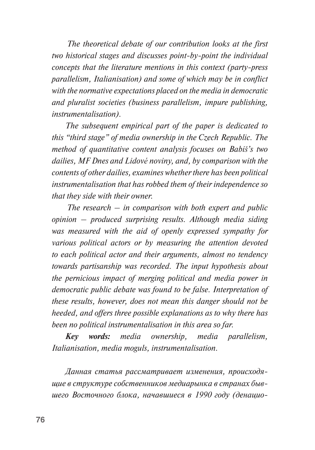*The theoretical debate of our contribution looks at the first two historical stages and discusses point-by-point the individual concepts that the literature mentions in this context (party-press parallelism, Italianisation) and some of which may be in conflict with the normative expectations placed on the media in democratic and pluralist societies (business parallelism, impure publishing, instrumentalisation).* 

*The subsequent empirical part of the paper is dedicated to this "third stage" of media ownership in the Czech Republic. The method of quantitative content analysis focuses on Babiš's two dailies, MF Dnes and Lidové noviny, and, by comparison with the contents of other dailies, examines whether there has been political instrumentalisation that has robbed them of their independence so that they side with their owner.* 

*The research – in comparison with both expert and public opinion – produced surprising results. Although media siding was measured with the aid of openly expressed sympathy for various political actors or by measuring the attention devoted to each political actor and their arguments, almost no tendency towards partisanship was recorded. The input hypothesis about the pernicious impact of merging political and media power in democratic public debate was found to be false. Interpretation of these results, however, does not mean this danger should not be heeded, and offers three possible explanations as to why there has been no political instrumentalisation in this area so far.*

*Key words: media ownership, media parallelism, Italianisation, media moguls, instrumentalisation.*

*Данная статья рассматривает изменения, происходящие в структуре собственников медиарынка в странах бывшего Восточного блока, начавшиеся в 1990 году (денацио-*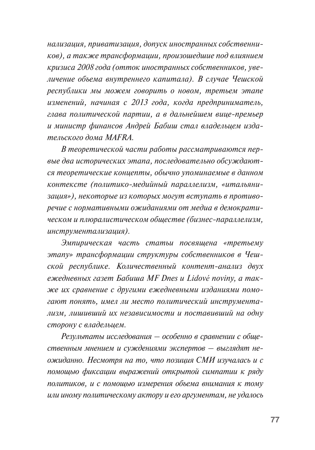*нализация, приватизация, допуск иностранных собственников), а также трансформации, произошедшие под влиянием кризиса 2008 года (отток иностранных собственников, увеличение объема внутреннего капитала). В случае Чешской республики мы можем говорить о новом, третьем этапе изменений, начиная с 2013 года, когда предприниматель, глава политической партии, а в дальнейшем вице-премьер и министр финансов Андрей Бабиш стал владельцем издательского дома MAFRA.* 

*В теоретической части работы рассматриваются первые два исторических этапа, последовательно обсуждаются теоретические концепты, обычно упоминаемые в данном контексте (политико-медийный параллелизм, «итальянизация»), некоторые из которых могут вступать в противоречие с нормативными ожиданиями от медиа в демократическом и плюралистическом обществе (бизнес-параллелизм, инструментализация).*

*Эмпирическая часть статьи посвящена «третьему этапу» трансформации структуры собственников в Чешской республике. Количественный контент-анализ двух ежедневных газет Бабиша MF Dnes и Lidové noviny, а также их сравнение с другими ежедневными изданиями помогают понять, имел ли место политический инструментализм, лишивший их независимости и поставивший на одну сторону с владельцем.* 

*Результаты исследования – особенно в сравнении с общественным мнением и суждениями экспертов – выглядят неожиданно. Несмотря на то, что позиция СМИ изучалась и с помощью фиксации выражений открытой симпатии к ряду политиков, и с помощью измерения объема внимания к тому или иному политическому актору и его аргументам, не удалось*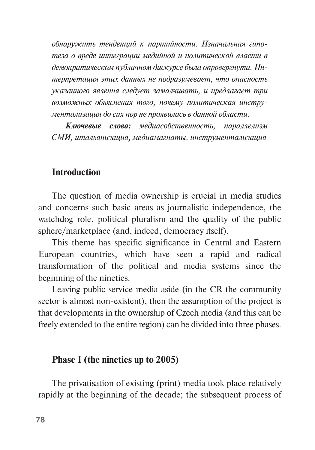*обнаружить тенденций к партийности. Изначальная гипотеза о вреде интеграции медийной и политической власти в демократическом публичном дискурсе была опровергнута. Интерпретация этих данных не подразумевает, что опасность указанного явления следует замалчивать, и предлагает три возможных объяснения того, почему политическая инструментализация до сих пор не проявилась в данной области.*

*Ключевые слова: медиасобственность, параллелизм СМИ, итальянизация, медиамагнаты, инструментализация*

### **Introduction**

The question of media ownership is crucial in media studies and concerns such basic areas as journalistic independence, the watchdog role, political pluralism and the quality of the public sphere/marketplace (and, indeed, democracy itself).

This theme has specific significance in Central and Eastern European countries, which have seen a rapid and radical transformation of the political and media systems since the beginning of the nineties.

Leaving public service media aside (in the CR the community sector is almost non-existent), then the assumption of the project is that developments in the ownership of Czech media (and this can be freely extended to the entire region) can be divided into three phases.

#### **Phase I (the nineties up to 2005)**

The privatisation of existing (print) media took place relatively rapidly at the beginning of the decade; the subsequent process of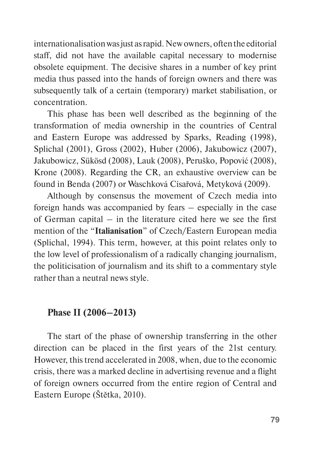internationalisation was just as rapid. New owners, often the editorial staff, did not have the available capital necessary to modernise obsolete equipment. The decisive shares in a number of key print media thus passed into the hands of foreign owners and there was subsequently talk of a certain (temporary) market stabilisation, or concentration.

This phase has been well described as the beginning of the transformation of media ownership in the countries of Central and Eastern Europe was addressed by Sparks, Reading (1998), Splichal (2001), Gross (2002), Huber (2006), Jakubowicz (2007), Jakubowicz, Sükösd (2008), Lauk (2008), Peruško, Popović (2008), Krone (2008). Regarding the CR, an exhaustive overview can be found in Benda (2007) or Waschková Císařová, Metyková (2009).

Although by consensus the movement of Czech media into foreign hands was accompanied by fears – especially in the case of German capital – in the literature cited here we see the first mention of the "**Italianisation**" of Czech/Eastern European media (Splichal, 1994). This term, however, at this point relates only to the low level of professionalism of a radically changing journalism, the politicisation of journalism and its shift to a commentary style rather than a neutral news style.

#### **Phase II (2006–2013)**

The start of the phase of ownership transferring in the other direction can be placed in the first years of the 21st century. However, this trend accelerated in 2008, when, due to the economic crisis, there was a marked decline in advertising revenue and a flight of foreign owners occurred from the entire region of Central and Eastern Europe (Štětka, 2010).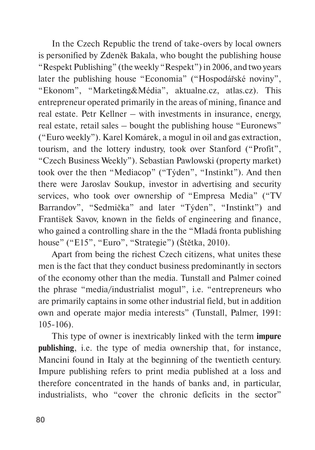In the Czech Republic the trend of take-overs by local owners is personified by Zdeněk Bakala, who bought the publishing house "Respekt Publishing" (the weekly "Respekt") in 2006, and two years later the publishing house "Economia" ("Hospodářské noviny", "Ekonom", "Marketing&Média", aktualne.cz, atlas.cz). This entrepreneur operated primarily in the areas of mining, finance and real estate. Petr Kellner – with investments in insurance, energy, real estate, retail sales – bought the publishing house "Euronews" ("Euro weekly"). Karel Komárek, a mogul in oil and gas extraction, tourism, and the lottery industry, took over Stanford ("Profit", "Czech Business Weekly"). Sebastian Pawlowski (property market) took over the then "Mediacop" ("Týden", "Instinkt"). And then there were Jaroslav Soukup, investor in advertising and security services, who took over ownership of "Empresa Media" ("TV Barrandov", "Sedmička" and later "Týden", "Instinkt") and František Savov, known in the fields of engineering and finance, who gained a controlling share in the the "Mladá fronta publishing house" ("E15", "Euro", "Strategie") (Štětka, 2010).

Apart from being the richest Czech citizens, what unites these men is the fact that they conduct business predominantly in sectors of the economy other than the media. Tunstall and Palmer coined the phrase "media/industrialist mogul", i.e. "entrepreneurs who are primarily captains in some other industrial field, but in addition own and operate major media interests" (Tunstall, Palmer, 1991: 105-106).

This type of owner is inextricably linked with the term **impure publishing**, i.e. the type of media ownership that, for instance, Mancini found in Italy at the beginning of the twentieth century. Impure publishing refers to print media published at a loss and therefore concentrated in the hands of banks and, in particular, industrialists, who "cover the chronic deficits in the sector"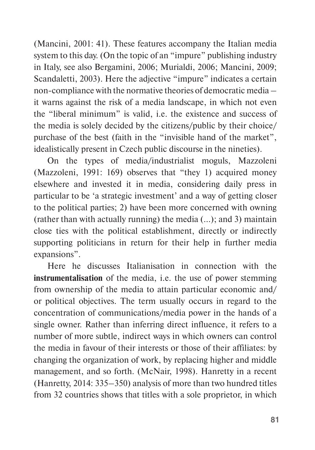(Mancini, 2001: 41). These features accompany the Italian media system to this day. (On the topic of an "impure" publishing industry in Italy, see also Bergamini, 2006; Murialdi, 2006; Mancini, 2009; Scandaletti, 2003). Here the adjective "impure" indicates a certain non-compliance with the normative theories of democratic media – it warns against the risk of a media landscape, in which not even the "liberal minimum" is valid, i.e. the existence and success of the media is solely decided by the citizens/public by their choice/ purchase of the best (faith in the "invisible hand of the market", idealistically present in Czech public discourse in the nineties).

On the types of media/industrialist moguls, Mazzoleni (Mazzoleni, 1991: 169) observes that "they 1) acquired money elsewhere and invested it in media, considering daily press in particular to be 'a strategic investment' and a way of getting closer to the political parties; 2) have been more concerned with owning (rather than with actually running) the media (…); and 3) maintain close ties with the political establishment, directly or indirectly supporting politicians in return for their help in further media expansions".

Here he discusses Italianisation in connection with the **instrumentalisation** of the media, i.e. the use of power stemming from ownership of the media to attain particular economic and/ or political objectives. The term usually occurs in regard to the concentration of communications/media power in the hands of a single owner. Rather than inferring direct influence, it refers to a number of more subtle, indirect ways in which owners can control the media in favour of their interests or those of their affiliates: by changing the organization of work, by replacing higher and middle management, and so forth. (McNair, 1998). Hanretty in a recent (Hanretty, 2014: 335–350) analysis of more than two hundred titles from 32 countries shows that titles with a sole proprietor, in which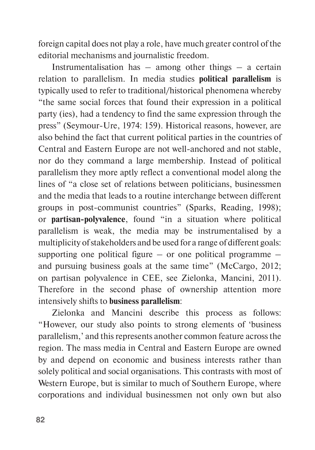foreign capital does not play a role, have much greater control of the editorial mechanisms and journalistic freedom.

Instrumentalisation has  $-$  among other things  $-$  a certain relation to parallelism. In media studies **political parallelism** is typically used to refer to traditional/historical phenomena whereby "the same social forces that found their expression in a political party (ies), had a tendency to find the same expression through the press" (Seymour-Ure, 1974: 159). Historical reasons, however, are also behind the fact that current political parties in the countries of Central and Eastern Europe are not well-anchored and not stable, nor do they command a large membership. Instead of political parallelism they more aptly reflect a conventional model along the lines of "a close set of relations between politicians, businessmen and the media that leads to a routine interchange between different groups in post-communist countries" (Sparks, Reading, 1998); or **partisan-polyvalence**, found "in a situation where political parallelism is weak, the media may be instrumentalised by a multiplicity of stakeholders and be used for a range of different goals: supporting one political figure – or one political programme – and pursuing business goals at the same time" (McCargo, 2012; on partisan polyvalence in CEE, see Zielonka, Mancini, 2011). Therefore in the second phase of ownership attention more intensively shifts to **business parallelism**:

Zielonka and Mancini describe this process as follows: "However, our study also points to strong elements of 'business parallelism,' and this represents another common feature across the region. The mass media in Central and Eastern Europe are owned by and depend on economic and business interests rather than solely political and social organisations. This contrasts with most of Western Europe, but is similar to much of Southern Europe, where corporations and individual businessmen not only own but also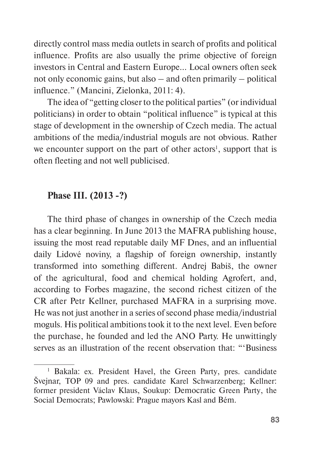directly control mass media outlets in search of profits and political influence. Profits are also usually the prime objective of foreign investors in Central and Eastern Europe… Local owners often seek not only economic gains, but also – and often primarily – political influence." (Mancini, Zielonka, 2011: 4).

The idea of "getting closer to the political parties" (or individual politicians) in order to obtain "political influence" is typical at this stage of development in the ownership of Czech media. The actual ambitions of the media/industrial moguls are not obvious. Rather we encounter support on the part of other actors<sup>1</sup>, support that is often fleeting and not well publicised.

# **Phase III. (2013 -?)**

The third phase of changes in ownership of the Czech media has a clear beginning. In June 2013 the MAFRA publishing house, issuing the most read reputable daily MF Dnes, and an influential daily Lidové noviny, a flagship of foreign ownership, instantly transformed into something different. Andrej Babiš, the owner of the agricultural, food and chemical holding Agrofert, and, according to Forbes magazine, the second richest citizen of the CR after Petr Kellner, purchased MAFRA in a surprising move. He was not just another in a series of second phase media/industrial moguls. His political ambitions took it to the next level. Even before the purchase, he founded and led the ANO Party. He unwittingly serves as an illustration of the recent observation that: "'Business

<sup>&</sup>lt;sup>1</sup> Bakala: ex. President Havel, the Green Party, pres. candidate Švejnar, TOP 09 and pres. candidate Karel Schwarzenberg; Kellner: former president Václav Klaus, Soukup: Democratic Green Party, the Social Democrats; Pawlowski: Prague mayors Kasl and Bém.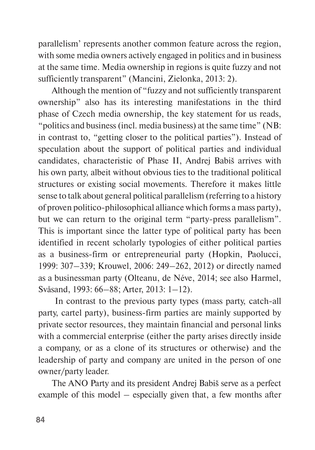parallelism' represents another common feature across the region, with some media owners actively engaged in politics and in business at the same time. Media ownership in regions is quite fuzzy and not sufficiently transparent" (Mancini, Zielonka, 2013: 2).

Although the mention of "fuzzy and not sufficiently transparent ownership" also has its interesting manifestations in the third phase of Czech media ownership, the key statement for us reads, "politics and business (incl. media business) at the same time" (NB: in contrast to, "getting closer to the political parties"). Instead of speculation about the support of political parties and individual candidates, characteristic of Phase II, Andrej Babiš arrives with his own party, albeit without obvious ties to the traditional political structures or existing social movements. Therefore it makes little sense to talk about general political parallelism (referring to a history of proven politico-philosophical alliance which forms a mass party), but we can return to the original term "party-press parallelism". This is important since the latter type of political party has been identified in recent scholarly typologies of either political parties as a business-firm or entrepreneurial party (Hopkin, Paolucci, 1999: 307–339; Krouwel, 2006: 249–262, 2012) or directly named as a businessman party (Olteanu, de Néve, 2014; see also Harmel, Svåsand, 1993: 66–88; Arter, 2013: 1–12).

 In contrast to the previous party types (mass party, catch-all party, cartel party), business-firm parties are mainly supported by private sector resources, they maintain financial and personal links with a commercial enterprise (either the party arises directly inside a company, or as a clone of its structures or otherwise) and the leadership of party and company are united in the person of one owner/party leader.

The ANO Party and its president Andrej Babiš serve as a perfect example of this model – especially given that, a few months after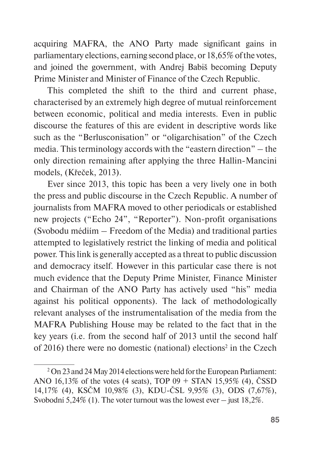acquiring MAFRA, the ANO Party made significant gains in parliamentary elections, earning second place, or 18,65% of the votes, and joined the government, with Andrej Babiš becoming Deputy Prime Minister and Minister of Finance of the Czech Republic.

This completed the shift to the third and current phase, characterised by an extremely high degree of mutual reinforcement between economic, political and media interests. Even in public discourse the features of this are evident in descriptive words like such as the "Berlusconisation" or "oligarchisation" of the Czech media. This terminology accords with the "eastern direction" – the only direction remaining after applying the three Hallin-Mancini models, (Křeček, 2013).

Ever since 2013, this topic has been a very lively one in both the press and public discourse in the Czech Republic. A number of journalists from MAFRA moved to other periodicals or established new projects ("Echo 24", "Reporter"). Non-profit organisations (Svobodu médiím – Freedom of the Media) and traditional parties attempted to legislatively restrict the linking of media and political power. This link is generally accepted as a threat to public discussion and democracy itself. However in this particular case there is not much evidence that the Deputy Prime Minister, Finance Minister and Chairman of the ANO Party has actively used "his" media against his political opponents). The lack of methodologically relevant analyses of the instrumentalisation of the media from the MAFRA Publishing House may be related to the fact that in the key years (i.e. from the second half of 2013 until the second half of 2016) there were no domestic (national) elections<sup>2</sup> in the Czech

<sup>2</sup>On 23 and 24 May 2014 elections were held for the European Parliament: ANO 16,13% of the votes (4 seats), TOP 09 + STAN 15,95% (4), ČSSD 14,17% (4), KSČM 10,98% (3), KDU-ČSL 9,95% (3), ODS (7,67%), Svobodní 5,24% (1). The voter turnout was the lowest ever – just 18,2%.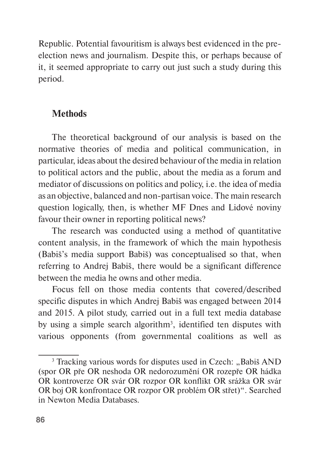Republic. Potential favouritism is always best evidenced in the preelection news and journalism. Despite this, or perhaps because of it, it seemed appropriate to carry out just such a study during this period.

# **Methods**

The theoretical background of our analysis is based on the normative theories of media and political communication, in particular, ideas about the desired behaviour of the media in relation to political actors and the public, about the media as a forum and mediator of discussions on politics and policy, i.e. the idea of media as an objective, balanced and non-partisan voice. The main research question logically, then, is whether MF Dnes and Lidové noviny favour their owner in reporting political news?

The research was conducted using a method of quantitative content analysis, in the framework of which the main hypothesis (Babiš's media support Babiš) was conceptualised so that, when referring to Andrej Babiš, there would be a significant difference between the media he owns and other media.

Focus fell on those media contents that covered/described specific disputes in which Andrej Babiš was engaged between 2014 and 2015. A pilot study, carried out in a full text media database by using a simple search algorithm<sup>3</sup>, identified ten disputes with various opponents (from governmental coalitions as well as

<sup>&</sup>lt;sup>3</sup> Tracking various words for disputes used in Czech: "Babiš AND (spor OR pře OR neshoda OR nedorozumění OR rozepře OR hádka OR kontroverze OR svár OR rozpor OR konflikt OR srážka OR svár OR boj OR konfrontace OR rozpor OR problém OR střet)". Searched in Newton Media Databases.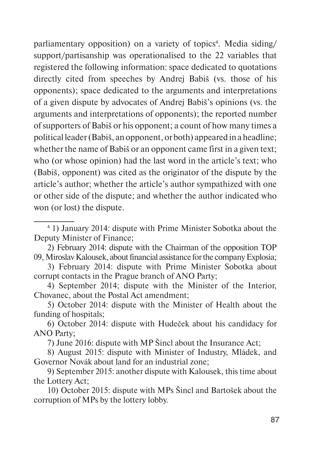parliamentary opposition) on a variety of topics<sup>4</sup>. Media siding/ support/partisanship was operationalised to the 22 variables that registered the following information: space dedicated to quotations directly cited from speeches by Andrej Babiš (vs. those of his opponents); space dedicated to the arguments and interpretations of a given dispute by advocates of Andrej Babiš's opinions (vs. the arguments and interpretations of opponents); the reported number of supporters of Babiš or his opponent; a count of how many times a political leader (Babiš, an opponent, or both) appeared in a headline; whether the name of Babiš or an opponent came first in a given text; who (or whose opinion) had the last word in the article's text; who (Babiš, opponent) was cited as the originator of the dispute by the article's author; whether the article's author sympathized with one or other side of the dispute; and whether the author indicated who won (or lost) the dispute.

7) June 2016: dispute with MP Šincl about the Insurance Act;

8) August 2015: dispute with Minister of Industry, Mládek, and Governor Novák about land for an industrial zone;

10) October 2015: dispute with MPs Šincl and Bartošek about the corruption of MPs by the lottery lobby.

<sup>4</sup> 1) January 2014: dispute with Prime Minister Sobotka about the Deputy Minister of Finance;

<sup>2)</sup> February 2014: dispute with the Chairman of the opposition TOP 09, Miroslav Kalousek, about financial assistance for the company Explosia;

<sup>3)</sup> February 2014: dispute with Prime Minister Sobotka about corrupt contacts in the Prague branch of ANO Party;

<sup>4)</sup> September 2014; dispute with the Minister of the Interior, Chovanec, about the Postal Act amendment;

<sup>5)</sup> October 2014: dispute with the Minister of Health about the funding of hospitals;

<sup>6)</sup> October 2014: dispute with Hudeček about his candidacy for ANO Party;

<sup>9)</sup> September 2015: another dispute with Kalousek, this time about the Lottery Act;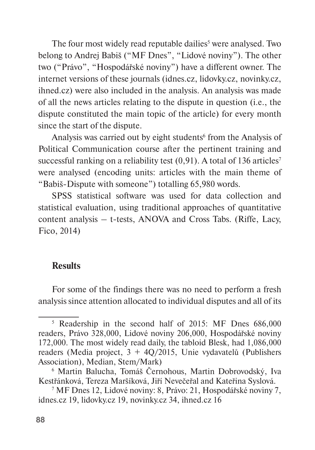The four most widely read reputable dailies<sup>5</sup> were analysed. Two belong to Andrej Babiš ("MF Dnes", "Lidové noviny"). The other two ("Právo", "Hospodářské noviny") have a different owner. The internet versions of these journals (idnes.cz, lidovky.cz, novinky.cz, ihned.cz) were also included in the analysis. An analysis was made of all the news articles relating to the dispute in question (i.e., the dispute constituted the main topic of the article) for every month since the start of the dispute.

Analysis was carried out by eight students<sup>6</sup> from the Analysis of Political Communication course after the pertinent training and successful ranking on a reliability test  $(0,91)$ . A total of 136 articles<sup>7</sup> were analysed (encoding units: articles with the main theme of "Babiš-Dispute with someone") totalling 65,980 words.

SPSS statistical software was used for data collection and statistical evaluation, using traditional approaches of quantitative content analysis – t-tests, ANOVA and Cross Tabs. (Riffe, Lacy, Fico, 2014)

#### **Results**

For some of the findings there was no need to perform a fresh analysis since attention allocated to individual disputes and all of its

<sup>5</sup> Readership in the second half of 2015: MF Dnes 686,000 readers, Právo 328,000, Lidové noviny 206,000, Hospodářské noviny 172,000. The most widely read daily, the tabloid Blesk, had 1,086,000 readers (Media project, 3 + 4Q/2015, Unie vydavatelů (Publishers Association), Median, Stem/Mark)

<sup>6</sup> Martin Balucha, Tomáš Černohous, Martin Dobrovodský, Iva Kestřánková, Tereza Maršíková, Jiří Nevečeřal and Kateřina Syslová.

<sup>7</sup> MF Dnes 12, Lidové noviny: 8, Právo: 21, Hospodářské noviny 7, idnes.cz 19, lidovky.cz 19, novinky.cz 34, ihned.cz 16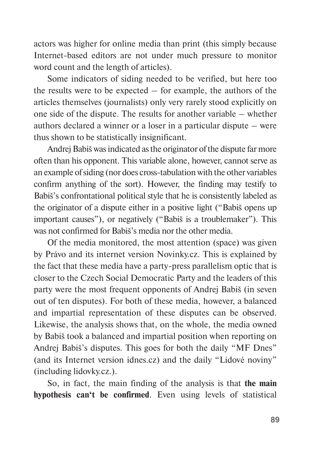actors was higher for online media than print (this simply because Internet-based editors are not under much pressure to monitor word count and the length of articles).

Some indicators of siding needed to be verified, but here too the results were to be expected – for example, the authors of the articles themselves (journalists) only very rarely stood explicitly on one side of the dispute. The results for another variable – whether authors declared a winner or a loser in a particular dispute – were thus shown to be statistically insignificant.

Andrej Babiš was indicated as the originator of the dispute far more often than his opponent. This variable alone, however, cannot serve as an example of siding (nor does cross-tabulation with the other variables confirm anything of the sort). However, the finding may testify to Babiš's confrontational political style that he is consistently labeled as the originator of a dispute either in a positive light ("Babiš opens up important causes"), or negatively ("Babiš is a troublemaker"). This was not confirmed for Babiš's media nor the other media.

Of the media monitored, the most attention (space) was given by Právo and its internet version Novinky.cz. This is explained by the fact that these media have a party-press parallelism optic that is closer to the Czech Social Democratic Party and the leaders of this party were the most frequent opponents of Andrej Babiš (in seven out of ten disputes). For both of these media, however, a balanced and impartial representation of these disputes can be observed. Likewise, the analysis shows that, on the whole, the media owned by Babiš took a balanced and impartial position when reporting on Andrej Babiš's disputes. This goes for both the daily "MF Dnes" (and its Internet version idnes.cz) and the daily "Lidové noviny" (including lidovky.cz.).

So, in fact, the main finding of the analysis is that **the main hypothesis can't be confirmed**. Even using levels of statistical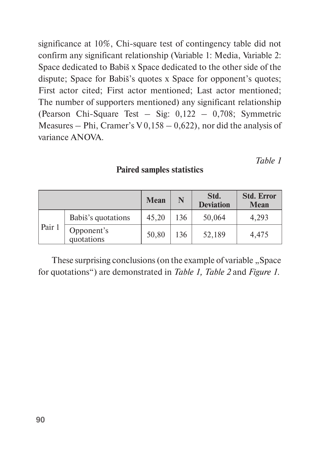significance at 10%, Chi-square test of contingency table did not confirm any significant relationship (Variable 1: Media, Variable 2: Space dedicated to Babiš x Space dedicated to the other side of the dispute; Space for Babiš's quotes x Space for opponent's quotes; First actor cited; First actor mentioned; Last actor mentioned; The number of supporters mentioned) any significant relationship (Pearson Chi-Square Test – Sig: 0,122 – 0,708; Symmetric Measures – Phi, Cramer's V  $0,158 - 0,622$ ), nor did the analysis of variance ANOVA.

*Table 1*

# **Paired samples statistics**

|        |                          | <b>Mean</b> | N   | Std.<br><b>Deviation</b> | <b>Std. Error</b><br><b>Mean</b> |
|--------|--------------------------|-------------|-----|--------------------------|----------------------------------|
|        | Babiš's quotations       | 45,20       | 136 | 50,064                   | 4,293                            |
| Pair 1 | Opponent's<br>quotations | 50,80       | 136 | 52,189                   | 4,475                            |

These surprising conclusions (on the example of variable "Space for quotations") are demonstrated in *Table 1, Table 2* and *Figure 1*.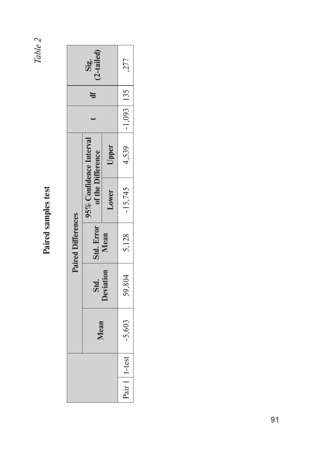*Table 2*

# Paired samples test **Paired samples test**

|                          |          |                 | Paired Difference |           |                                           |                |                 |  |
|--------------------------|----------|-----------------|-------------------|-----------|-------------------------------------------|----------------|-----------------|--|
|                          | Mean     | Std.            | Std. Error        |           | % Confidence Interva<br>of the Difference |                | '-taile<br>Sig. |  |
|                          |          | <b>eviation</b> | Mean              | Lower     | Upper                                     |                |                 |  |
| $+1$ t-test $+$<br>1 JIR | $-5,603$ | 59,804          | 5,128             | $-15,745$ | 4,539                                     | $-1,093$   135 | ,277            |  |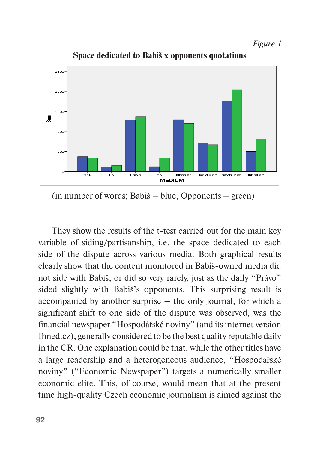*Figure 1* 



**Space dedicated to Babiš x opponents quotations**

(in number of words; Babiš – blue, Opponents – green)

They show the results of the t-test carried out for the main key variable of siding/partisanship, i.e. the space dedicated to each side of the dispute across various media. Both graphical results clearly show that the content monitored in Babiš-owned media did not side with Babiš, or did so very rarely, just as the daily "Právo" sided slightly with Babiš's opponents. This surprising result is accompanied by another surprise – the only journal, for which a significant shift to one side of the dispute was observed, was the financial newspaper "Hospodářské noviny" (and its internet version Ihned.cz), generally considered to be the best quality reputable daily in the CR. One explanation could be that, while the other titles have a large readership and a heterogeneous audience, "Hospodářské noviny" ("Economic Newspaper") targets a numerically smaller economic elite. This, of course, would mean that at the present time high-quality Czech economic journalism is aimed against the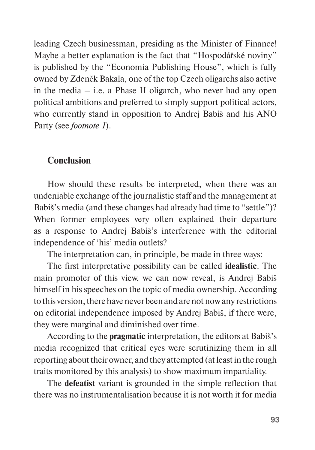leading Czech businessman, presiding as the Minister of Finance! Maybe a better explanation is the fact that "Hospodářské noviny" is published by the "Economia Publishing House", which is fully owned by Zdeněk Bakala, one of the top Czech oligarchs also active in the media  $-$  i.e. a Phase II oligarch, who never had any open political ambitions and preferred to simply support political actors, who currently stand in opposition to Andrej Babiš and his ANO Party (see *footnote 1*).

#### **Conclusion**

How should these results be interpreted, when there was an undeniable exchange of the journalistic staff and the management at Babiš's media (and these changes had already had time to "settle")? When former employees very often explained their departure as a response to Andrej Babiš's interference with the editorial independence of 'his' media outlets?

The interpretation can, in principle, be made in three ways:

The first interpretative possibility can be called **idealistic**. The main promoter of this view, we can now reveal, is Andrej Babiš himself in his speeches on the topic of media ownership. According to this version, there have never been and are not now any restrictions on editorial independence imposed by Andrej Babiš, if there were, they were marginal and diminished over time.

According to the **pragmatic** interpretation, the editors at Babiš's media recognized that critical eyes were scrutinizing them in all reporting about their owner, and they attempted (at least in the rough traits monitored by this analysis) to show maximum impartiality.

The **defeatist** variant is grounded in the simple reflection that there was no instrumentalisation because it is not worth it for media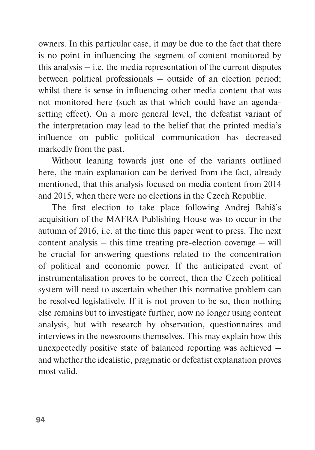owners. In this particular case, it may be due to the fact that there is no point in influencing the segment of content monitored by this analysis  $-$  i.e. the media representation of the current disputes between political professionals – outside of an election period; whilst there is sense in influencing other media content that was not monitored here (such as that which could have an agendasetting effect). On a more general level, the defeatist variant of the interpretation may lead to the belief that the printed media's influence on public political communication has decreased markedly from the past.

Without leaning towards just one of the variants outlined here, the main explanation can be derived from the fact, already mentioned, that this analysis focused on media content from 2014 and 2015, when there were no elections in the Czech Republic.

The first election to take place following Andrej Babiš's acquisition of the MAFRA Publishing House was to occur in the autumn of 2016, i.e. at the time this paper went to press. The next content analysis – this time treating pre-election coverage – will be crucial for answering questions related to the concentration of political and economic power. If the anticipated event of instrumentalisation proves to be correct, then the Czech political system will need to ascertain whether this normative problem can be resolved legislatively. If it is not proven to be so, then nothing else remains but to investigate further, now no longer using content analysis, but with research by observation, questionnaires and interviews in the newsrooms themselves. This may explain how this unexpectedly positive state of balanced reporting was achieved – and whether the idealistic, pragmatic or defeatist explanation proves most valid.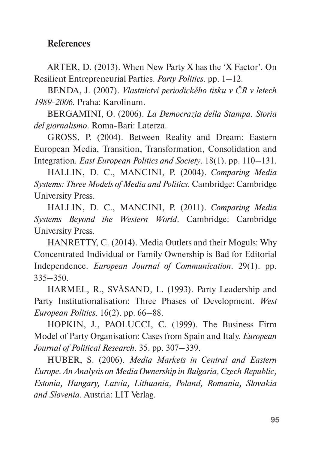# **References**

ARTER, D. (2013). When New Party X has the 'X Factor'. On Resilient Entrepreneurial Parties. *Party Politics*. pp. 1–12.

BENDA, J. (2007). *Vlastnictví periodického tisku v ČR v letech 1989-2006*. Praha: Karolinum.

BERGAMINI, O. (2006). *La Democrazia della Stampa. Storia del giornalismo*. Roma-Bari: Laterza.

GROSS, P. (2004). Between Reality and Dream: Eastern European Media, Transition, Transformation, Consolidation and Integration*. East European Politics and Society*. 18(1). pp. 110–131.

HALLIN, D. C., MANCINI, P. (2004). *Comparing Media Systems: Three Models of Media and Politics.* Cambridge: Cambridge University Press.

HALLIN, D. C., MANCINI, P. (2011). *Comparing Media Systems Beyond the Western World*. Cambridge: Cambridge University Press.

HANRETTY, C. (2014). Media Outlets and their Moguls: Why Concentrated Individual or Family Ownership is Bad for Editorial Independence. *European Journal of Communication*. 29(1). pp. 335–350.

HARMEL, R., SVÅSAND, L. (1993). Party Leadership and Party Institutionalisation: Three Phases of Development. *West European Politics*. 16(2). pp. 66–88.

HOPKIN, J., PAOLUCCI, C. (1999). The Business Firm Model of Party Organisation: Cases from Spain and Italy. *European Journal of Political Research*. 35. pp. 307–339.

HUBER, S. (2006). *Media Markets in Central and Eastern Europe. An Analysis on Media Ownership in Bulgaria, Czech Republic, Estonia, Hungary, Latvia, Lithuania, Poland, Romania, Slovakia and Slovenia*. Austria: LIT Verlag.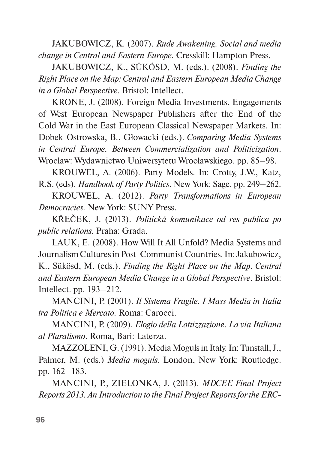JAKUBOWICZ, K. (2007). *Rude Awakening. Social and media change in Central and Eastern Europe.* Cresskill: Hampton Press.

JAKUBOWICZ, K., SÜKÖSD, M. (eds.). (2008). *Finding the Right Place on the Map: Central and Eastern European Media Change in a Global Perspective*. Bristol: Intellect.

KRONE, J. (2008). Foreign Media Investments. Engagements of West European Newspaper Publishers after the End of the Cold War in the East European Classical Newspaper Markets. In: Dobek-Ostrowska, B., Głowacki (eds.). *Comparing Media Systems in Central Europe. Between Commercialization and Politicization*. Wroclaw: Wydawnictwo Uniwersytetu Wrocławskiego. pp. 85–98.

KROUWEL, A. (2006). Party Models. In: Crotty, J.W., Katz, R.S. (eds). *Handbook of Party Politics*. New York: Sage. pp. 249–262.

KROUWEL, A. (2012). *Party Transformations in European Democracies.* New York: SUNY Press.

KŘEČEK, J. (2013). *Politická komunikace od res publica po public relations.* Praha: Grada.

LAUK, E. (2008). How Will It All Unfold? Media Systems and Journalism Cultures in Post-Communist Countries. In: Jakubowicz, K., Sükösd, M. (eds.). *Finding the Right Place on the Map. Central and Eastern European Media Change in a Global Perspective*. Bristol: Intellect. pp. 193–212.

MANCINI, P. (2001). *Il Sistema Fragile. I Mass Media in Italia tra Politica e Mercato.* Roma: Carocci.

MANCINI, P. (2009). *Elogio della Lottizzazione. La via Italiana al Pluralismo*. Roma, Bari: Laterza.

MAZZOLENI, G. (1991). Media Moguls in Italy. In: Tunstall, J., Palmer, M. (eds.) *Media moguls*. London, New York: Routledge. pp. 162–183.

MANCINI, P., ZIELONKA, J. (2013). *MDCEE Final Project Reports 2013. An Introduction to the Final Project Reports for the ERC-*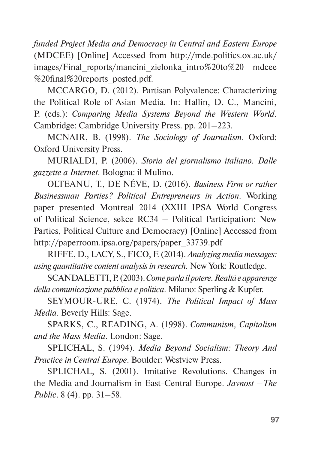*funded Project Media and Democracy in Central and Eastern Europe* (MDCEE) [Online] Accessed from [http://mde.politics.ox.ac.uk/](http://mde.politics.ox.ac.uk/images/Final_reports/mancini_zielonka_intro to%25) images/Final reports/mancini zielonka intro%20to%20 mdcee %20final%20reports\_posted.pdf.

MCCARGO, D. (2012). Partisan Polyvalence: Characterizing the Political Role of Asian Media. In: Hallin, D. C., Mancini, P. (eds.): *Comparing Media Systems Beyond the Western World.*  Cambridge: Cambridge University Press. pp. 201–223.

MCNAIR, B. (1998). *The Sociology of Journalism*. Oxford: Oxford University Press.

MURIALDI, P. (2006). *Storia del giornalismo italiano. Dalle gazzette a Internet*. Bologna: il Mulino.

OLTEANU, T., DE NÉVE, D. (2016). *Business Firm or rather Businessman Parties? Political Entrepreneurs in Action.* Working paper presented Montreal 2014 (XXIII IPSA World Congress of Political Science, sekce RC34 – Political Participation: New Parties, Political Culture and Democracy) [Online] Accessed from [http://paperroom.ipsa.org/papers/paper\\_33739.pdf](http://paperroom.ipsa.org/papers/paper_33739.pdf)

RIFFE, D., LACY, S., FICO, F. (2014). *Analyzing media messages: using quantitative content analysis in research.* New York: Routledge.

SCANDALETTI, P. (2003). *Come parla il potere. Realtà e apparenze della comunicazione pubblica e politica*. Milano: Sperling & Kupfer.

SEYMOUR-URE, C. (1974). *The Political Impact of Mass Media*. Beverly Hills: Sage.

SPARKS, C., READING, A. (1998). *Communism, Capitalism and the Mass Media*. London: Sage.

SPLICHAL, S. (1994). *Media Beyond Socialism: Theory And Practice in Central Europe*. Boulder: Westview Press.

SPLICHAL, S. (2001). Imitative Revolutions. Changes in the Media and Journalism in East-Central Europe. *Javnost –The Public*. 8 (4). pp. 31–58.